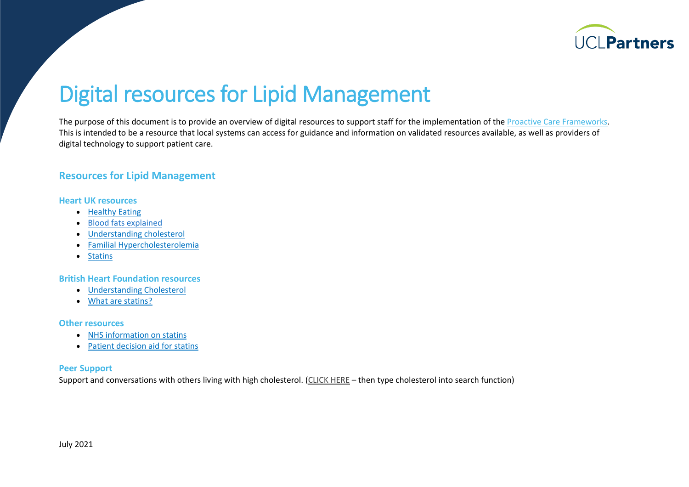

# Digital resources for Lipid Management

The purpose of this document is to provide an overview of digital resources to support staff for the implementation of th[e Proactive Care Frameworks.](https://uclpartners.com/proactive-care/) This is intended to be a resource that local systems can access for guidance and information on validated resources available, as well as providers of digital technology to support patient care.

## **Resources for Lipid Management**

#### **Heart UK resources**

- [Healthy Eating](https://www.heartuk.org.uk/downloads/health-professionals/publications/healthy-eating-guide.pdf)
- [Blood fats explained](https://www.heartuk.org.uk/downloads/health-professionals/publications/blood-fats-explained.pdf)
- [Understanding cholesterol](https://www.heartuk.org.uk/downloads/health-professionals/publications/understanding-cholesterol.pdf)
- [Familial Hypercholesterolemia](https://www.heartuk.org.uk/downloads/health-professionals/publications/familial-hypercholesterolaemia.pdf)
- [Statins](https://www.heartuk.org.uk/getting-treatment/statins)

## **British Heart Foundation resources**

- [Understanding Cholesterol](https://www.bhf.org.uk/informationsupport/publications/heart-conditions/understanding-cholesterol)
- [What are statins?](https://www.bhf.org.uk/informationsupport/publications/heart-conditions/medical-information-sheets/statins)

#### **Other resources**

- [NHS information on statins](https://www.nhs.uk/conditions/statins/)
- [Patient decision aid](https://www.nice.org.uk/guidance/cg181/resources/patient-decision-aid-pdf-243780159) for statins

#### **Peer Support**

Support and conversations with others living with high cholesterol. [\(CLICK HERE](https://healthunlocked.com/) – then type cholesterol into search function)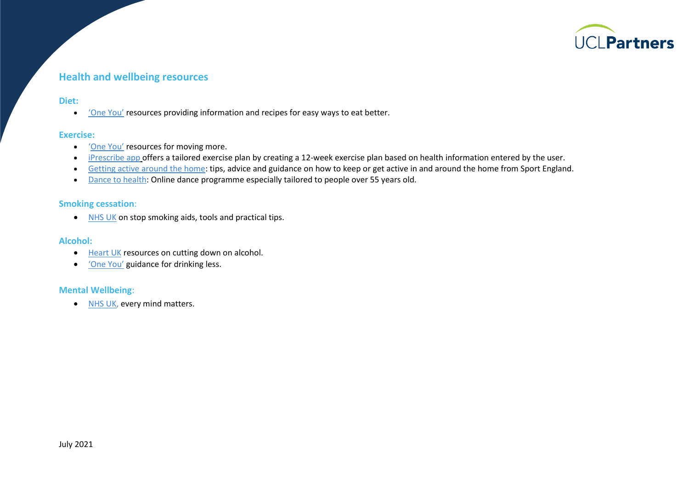

# **Health and wellbeing resources**

#### **Diet:**

• ['One You'](http://www.nhs.uk/oneyou/for-your-body/eat-better/) resources providing information and recipes for easy ways to eat better.

#### **Exercise:**

- '[One](http://www.nhs.uk/oneyou/for-your-body/move-more/) You' resources for moving more.
- [iPrescribe app](http://www.nhs.uk/apps-library/iprescribe-exercise/) offers a tailored exercise plan by creating a 12-week exercise plan based on health information entered by the user.
- [Getting active around the home:](https://weareundefeatable.co.uk/) tips, advice and guidance on how to keep or get active in and around the home from Sport England.
- [Dance to health:](http://www.dancetohealth.org/Online_Session/Online_Sessions) Online dance programme especially tailored to people over 55 years old.

## **Smoking cessation**:

• [NHS UK](http://www.nhs.uk/oneyou/for-your-body/quit-smoking/) on stop smoking aids, tools and practical tips.

#### **Alcohol:**

- [Heart UK](https://www.heartuk.org.uk/low-cholesterol-foods/alcohol) resources on cutting down on alcohol.
- ['One You'](https://www.nhs.uk/oneyou/for-your-body/drink-less/) guidance for drinking less.

#### **Mental Wellbeing**:

• [NHS UK,](https://www.nhs.uk/every-mind-matters/) every mind matters.